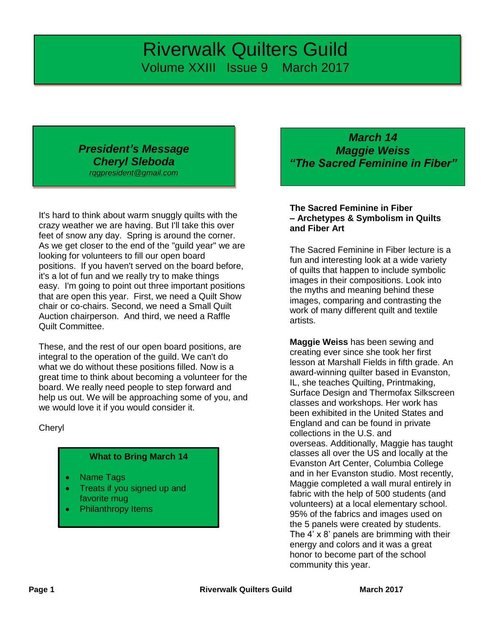# *Riverwalk Quilters Guild* Volume XXIII Issue 9 March 2017

## *President's Message Cheryl Sleboda [rqgpresident@gmail.com](mailto:rqgpresident@gmail.com)*

It's hard to think about warm snuggly quilts with the crazy weather we are having. But I'll take this over feet of snow any day. Spring is around the corner. As we get closer to the end of the "guild year" we are looking for volunteers to fill our open board positions. If you haven't served on the board before, it's a lot of fun and we really try to make things easy. I'm going to point out three important positions that are open this year. First, we need a Quilt Show chair or co-chairs. Second, we need a Small Quilt Auction chairperson. And third, we need a Raffle Quilt Committee.

These, and the rest of our open board positions, are integral to the operation of the guild. We can't do what we do without these positions filled. Now is a great time to think about becoming a volunteer for the board. We really need people to step forward and help us out. We will be approaching some of you, and we would love it if you would consider it.

**Cheryl** 

### **What to Bring March 14**

- Name Tags
- Treats if you signed up and favorite mug
- Philanthropy Items

*March 14 Maggie Weiss "The Sacred Feminine in Fiber"*

#### **The Sacred Feminine in Fiber – Archetypes & Symbolism in Quilts and Fiber Art**

The Sacred Feminine in Fiber lecture is a fun and interesting look at a wide variety of quilts that happen to include symbolic images in their compositions. Look into the myths and meaning behind these images, comparing and contrasting the work of many different quilt and textile artists.

**Maggie Weiss** has been sewing and creating ever since she took her first lesson at Marshall Fields in fifth grade. An award-winning quilter based in Evanston, IL, she teaches Quilting, Printmaking, Surface Design and Thermofax Silkscreen classes and workshops. Her work has been exhibited in the United States and England and can be found in private collections in the U.S. and overseas. Additionally, Maggie has taught classes all over the US and locally at the Evanston Art Center, Columbia College and in her Evanston studio. Most recently, Maggie completed a wall mural entirely in fabric with the help of 500 students (and volunteers) at a local elementary school. 95% of the fabrics and images used on the 5 panels were created by students. The 4' x 8' panels are brimming with their energy and colors and it was a great honor to become part of the school community this year.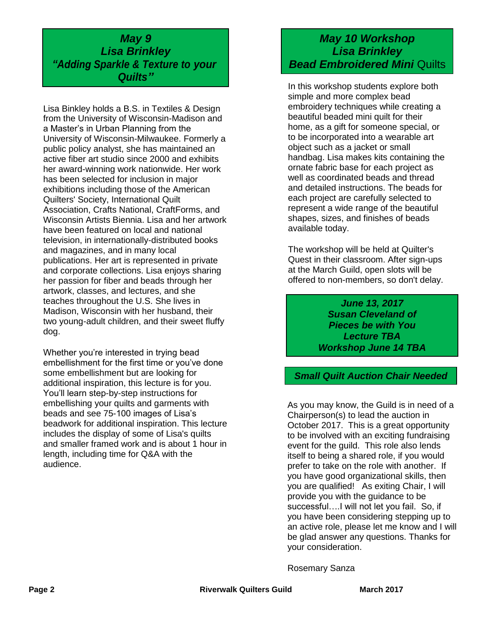## *May 9 Lisa Brinkley "Adding Sparkle & Texture to your Quilts"*

Lisa Binkley holds a B.S. in Textiles & Design from the University of Wisconsin-Madison and a Master's in Urban Planning from the University of Wisconsin-Milwaukee. Formerly a public policy analyst, she has maintained an active fiber art studio since 2000 and exhibits her award-winning work nationwide. Her work has been selected for inclusion in major exhibitions including those of the American Quilters' Society, International Quilt Association, Crafts National, CraftForms, and Wisconsin Artists Biennia. Lisa and her artwork have been featured on local and national television, in internationally-distributed books and magazines, and in many local publications. Her art is represented in private and corporate collections. Lisa enjoys sharing her passion for fiber and beads through her artwork, classes, and lectures, and she teaches throughout the U.S. She lives in Madison, Wisconsin with her husband, their two young-adult children, and their sweet fluffy dog.

Whether you're interested in trying bead embellishment for the first time or you've done some embellishment but are looking for additional inspiration, this lecture is for you. You'll learn step-by-step instructions for embellishing your quilts and garments with beads and see 75-100 images of Lisa's beadwork for additional inspiration. This lecture includes the display of some of Lisa's quilts and smaller framed work and is about 1 hour in length, including time for Q&A with the audience.

# *May 10 Workshop Lisa Brinkley* **Bead Embroidered Mini Quilts**

In this workshop students explore both simple and more complex bead embroidery techniques while creating a beautiful beaded mini quilt for their home, as a gift for someone special, or to be incorporated into a wearable art object such as a jacket or small handbag. Lisa makes kits containing the ornate fabric base for each project as well as coordinated beads and thread and detailed instructions. The beads for each project are carefully selected to represent a wide range of the beautiful shapes, sizes, and finishes of beads available today.

The workshop will be held at Quilter's Quest in their classroom. After sign-ups at the March Guild, open slots will be offered to non-members, so don't delay.

> *June 13, 2017 Susan Cleveland of Pieces be with You Lecture TBA Workshop June 14 TBA*

*Small Quilt Auction Chair Needed*

As you may know, the Guild is in need of a Chairperson(s) to lead the auction in October 2017. This is a great opportunity to be involved with an exciting fundraising event for the guild. This role also lends itself to being a shared role, if you would prefer to take on the role with another. If you have good organizational skills, then you are qualified! As exiting Chair, I will provide you with the guidance to be successful….I will not let you fail. So, if you have been considering stepping up to an active role, please let me know and I will be glad answer any questions. Thanks for your consideration.

Rosemary Sanza

**Page 2** March 2017 **Riverwalk Quilters Guild March** 2017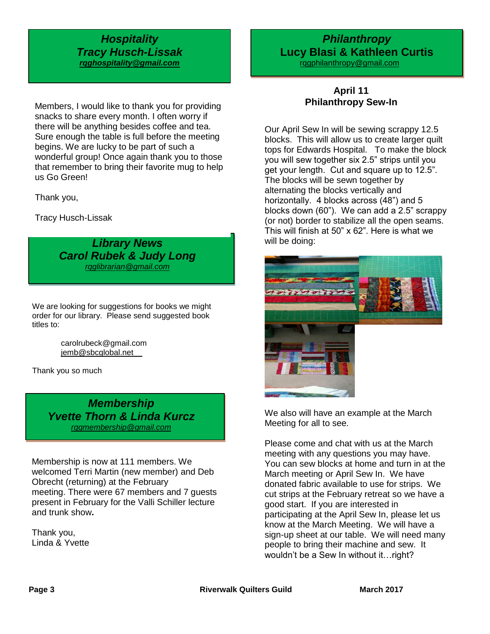### *Hospitality Tracy Husch-Lissak [rqghospitality@gmail.com](file:///C:/Users/Sandra/Documents/RQG%20Newsletter/rqghospitality@gmail.com)*

Members, I would like to thank you for providing snacks to share every month. I often worry if there will be anything besides coffee and tea. Sure enough the table is full before the meeting begins. We are lucky to be part of such a wonderful group! Once again thank you to those that remember to bring their favorite mug to help us Go Green!

Thank you,

Tracy Husch-Lissak

*Library News Carol Rubek & Judy Long [rqglibrarian@gmail.com](mailto:rqglibrarian@gmail.com)*

We are looking for suggestions for books we might order for our library. Please send suggested book titles to:

> carolrubeck@gmail.com [jemb@sbcglobal.net](mailto:jemb@sbcglobal.net)

Thank you so much

*Membership Yvette Thorn & Linda Kurcz [rqgmembership@gmail.com](mailto:rqgmembership@gmail.com)*

Membership is now at 111 members. We welcomed Terri Martin (new member) and Deb Obrecht (returning) at the February meeting. There were 67 members and 7 guests present in February for the Valli Schiller lecture and trunk show**.**

Thank you, Linda & Yvette

# **Lucy Blasi & Kathleen Curtis** *Philanthropy*

 [rqgphilanthropy@gmail.com](mailto:rqgphilanthropy@gmail.com) l

## **April 11 Philanthropy Sew-In**

Our April Sew In will be sewing scrappy 12.5 blocks. This will allow us to create larger quilt tops for Edwards Hospital. To make the block you will sew together six 2.5" strips until you get your length. Cut and square up to 12.5". The blocks will be sewn together by alternating the blocks vertically and horizontally. 4 blocks across (48") and 5 blocks down (60"). We can add a 2.5" scrappy (or not) border to stabilize all the open seams. This will finish at 50" x 62". Here is what we will be doing:



We also will have an example at the March Meeting for all to see.

Please come and chat with us at the March meeting with any questions you may have. You can sew blocks at home and turn in at the March meeting or April Sew In. We have donated fabric available to use for strips. We cut strips at the February retreat so we have a good start. If you are interested in participating at the April Sew In, please let us know at the March Meeting. We will have a sign-up sheet at our table. We will need many people to bring their machine and sew. It wouldn't be a Sew In without it…right?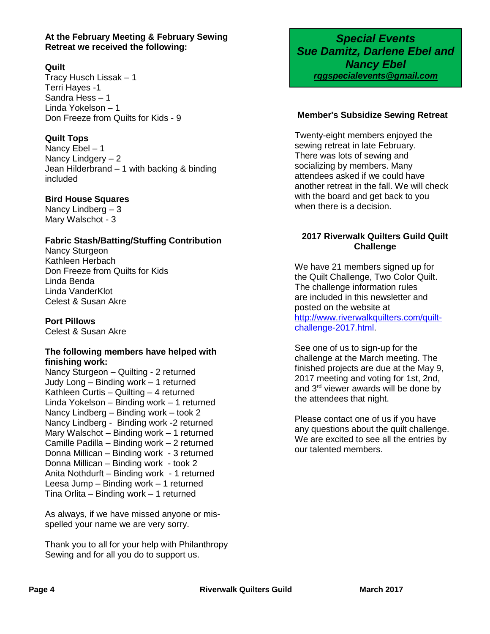#### **At the February Meeting & February Sewing Retreat we received the following:**

#### **Quilt**

Tracy Husch Lissak – 1 Terri Hayes -1 Sandra Hess – 1 Linda Yokelson – 1 Don Freeze from Quilts for Kids - 9

#### **Quilt Tops**

Nancy Ebel – 1 Nancy Lindgery – 2 Jean Hilderbrand – 1 with backing & binding included

#### **Bird House Squares**

Nancy Lindberg – 3 Mary Walschot - 3

#### **Fabric Stash/Batting/Stuffing Contribution**

Nancy Sturgeon Kathleen Herbach Don Freeze from Quilts for Kids Linda Benda Linda VanderKlot Celest & Susan Akre

#### **Port Pillows**

Celest & Susan Akre

#### **The following members have helped with finishing work:**

Nancy Sturgeon – Quilting - 2 returned Judy Long – Binding work – 1 returned Kathleen Curtis – Quilting – 4 returned Linda Yokelson – Binding work – 1 returned Nancy Lindberg – Binding work – took 2 Nancy Lindberg - Binding work -2 returned Mary Walschot – Binding work – 1 returned Camille Padilla – Binding work – 2 returned Donna Millican – Binding work - 3 returned Donna Millican – Binding work - took 2 Anita Nothdurft – Binding work - 1 returned Leesa Jump – Binding work – 1 returned Tina Orlita – Binding work – 1 returned

As always, if we have missed anyone or misspelled your name we are very sorry.

Thank you to all for your help with Philanthropy Sewing and for all you do to support us.

*Special Events Sue Damitz, Darlene Ebel and Nancy Ebel rqgspecialevents@gmail.com*

#### **Member's Subsidize Sewing Retreat**

Twenty-eight members enjoyed the sewing retreat in late February. There was lots of sewing and socializing by members. Many attendees asked if we could have another retreat in the fall. We will check with the board and get back to you when there is a decision.

#### **2017 Riverwalk Quilters Guild Quilt Challenge**

We have 21 members signed up for the Quilt Challenge, Two Color Quilt. The challenge information rules are included in this newsletter and posted on the website at [http://www.riverwalkquilters.com/quilt](http://www.riverwalkquilters.com/quilt-challenge-2017.html)[challenge-2017.html.](http://www.riverwalkquilters.com/quilt-challenge-2017.html)

See one of us to sign-up for the challenge at the March meeting. The finished projects are due at the May 9, 2017 meeting and voting for 1st, 2nd, and 3rd viewer awards will be done by the attendees that night.

Please contact one of us if you have any questions about the quilt challenge. We are excited to see all the entries by our talented members.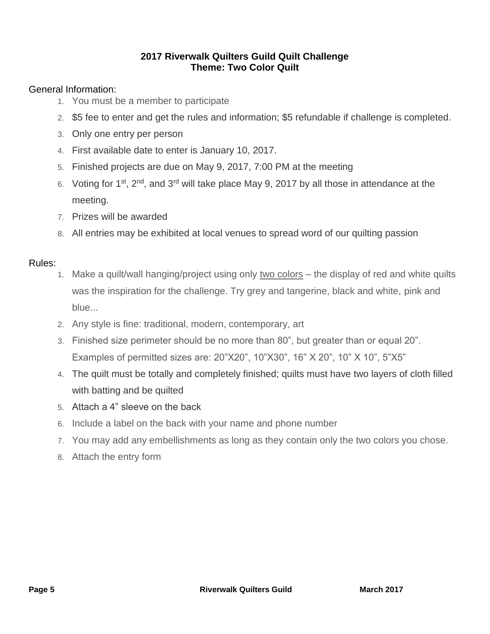## **2017 Riverwalk Quilters Guild Quilt Challenge Theme: Two Color Quilt**

## General Information:

- 1. You must be a member to participate
- 2. \$5 fee to enter and get the rules and information; \$5 refundable if challenge is completed.
- 3. Only one entry per person
- 4. First available date to enter is January 10, 2017.
- 5. Finished projects are due on May 9, 2017, 7:00 PM at the meeting
- 6. Voting for 1<sup>st</sup>, 2<sup>nd</sup>, and 3<sup>rd</sup> will take place May 9, 2017 by all those in attendance at the meeting.
- 7. Prizes will be awarded
- 8. All entries may be exhibited at local venues to spread word of our quilting passion

## Rules:

- 1. Make a quilt/wall hanging/project using only two colors the display of red and white quilts was the inspiration for the challenge. Try grey and tangerine, black and white, pink and blue...
- 2. Any style is fine: traditional, modern, contemporary, art
- 3. Finished size perimeter should be no more than 80", but greater than or equal 20". Examples of permitted sizes are: 20"X20", 10"X30", 16" X 20", 10" X 10", 5"X5"
- 4. The quilt must be totally and completely finished; quilts must have two layers of cloth filled with batting and be quilted
- 5. Attach a 4" sleeve on the back
- 6. Include a label on the back with your name and phone number
- 7. You may add any embellishments as long as they contain only the two colors you chose.
- 8. Attach the entry form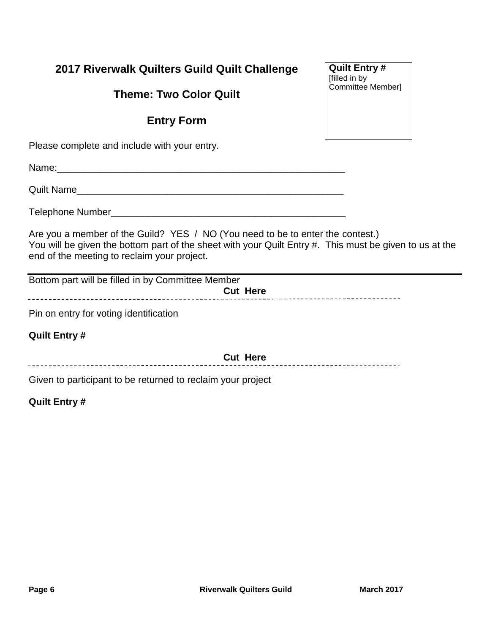# **2017 Riverwalk Quilters Guild Quilt Challenge**

# **Theme: Two Color Quilt**

# **Entry Form**

Please complete and include with your entry.

Name:

Quilt Name

Telephone Number\_\_\_\_\_\_\_\_\_\_\_\_\_\_\_\_\_\_\_\_\_\_\_\_\_\_\_\_\_\_\_\_\_\_\_\_\_\_\_\_\_\_\_\_

Are you a member of the Guild? YES / NO (You need to be to enter the contest.) You will be given the bottom part of the sheet with your Quilt Entry #. This must be given to us at the end of the meeting to reclaim your project.

Bottom part will be filled in by Committee Member **Cut Here**

Pin on entry for voting identification

**Quilt Entry #**

**Cut Here**

Given to participant to be returned to reclaim your project

## **Quilt Entry #**

**Quilt Entry #** [filled in by Committee Member]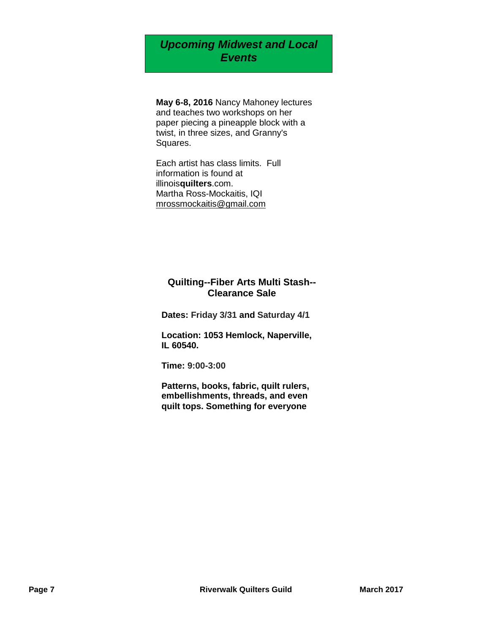# *Upcoming Midwest and Local Events*

**May 6-8, 2016** Nancy Mahoney lectures and teaches two workshops on her paper piecing a pineapple block with a twist, in three sizes, and Granny's Squares.

Each artist has class limits. Full information is found at illinois**quilters**.com. Martha Ross-Mockaitis, IQI [mrossmockaitis@gmail.com](mailto:mrossmockaitis@gmail.com)

#### **Quilting--Fiber Arts Multi Stash-- Clearance Sale**

**Dates: Friday 3/31 and Saturday 4/1**

**Location: 1053 Hemlock, Naperville, IL 60540.** 

**Time: 9:00-3:00**

**Patterns, books, fabric, quilt rulers, embellishments, threads, and even quilt tops. Something for everyone**